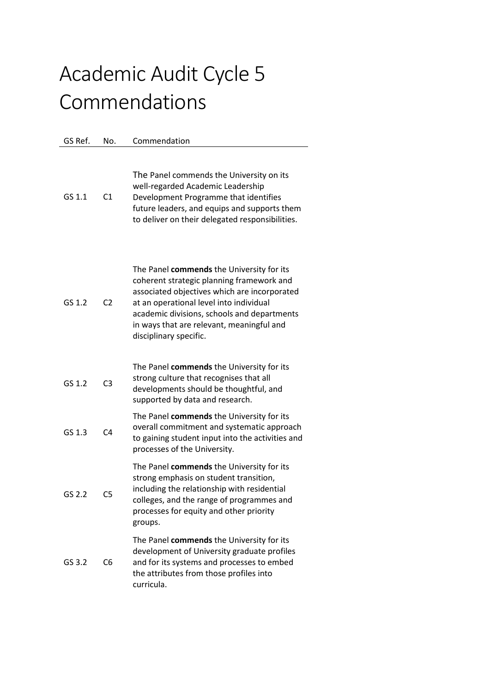## Academic Audit Cycle 5 Commendations

GS Ref. No. Commendation

## GS 1.1 C1 The Panel commends the University on its well-regarded Academic Leadership Development Programme that identifies future leaders, and equips and supports them to deliver on their delegated responsibilities. GS 1.2 C2 The Panel **commends** the University for its coherent strategic planning framework and associated objectives which are incorporated at an operational level into individual academic divisions, schools and departments in ways that are relevant, meaningful and disciplinary specific. GS 1.2 C3 The Panel **commends** the University for its strong culture that recognises that all developments should be thoughtful, and supported by data and research. GS 1.3 C4 The Panel **commends** the University for its overall commitment and systematic approach to gaining student input into the activities and processes of the University. GS 2.2 C5 The Panel **commends** the University for its strong emphasis on student transition, including the relationship with residential colleges, and the range of programmes and processes for equity and other priority groups. GS 3.2 C6 The Panel **commends** the University for its development of University graduate profiles and for its systems and processes to embed the attributes from those profiles into curricula.